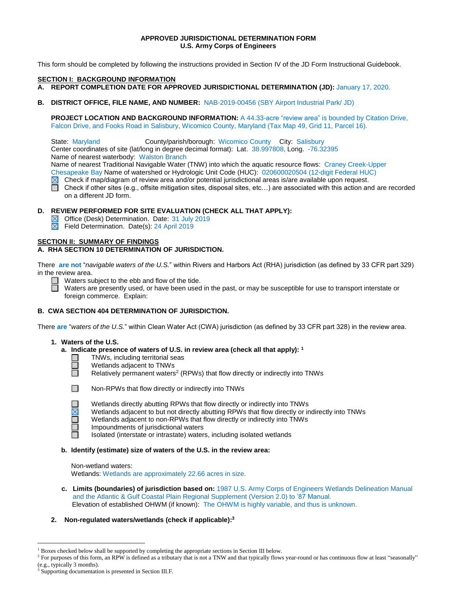# **APPROVED JURISDICTIONAL DETERMINATION FORM U.S. Army Corps of Engineers**

This form should be completed by following the instructions provided in Section IV of the JD Form Instructional Guidebook.

#### **SECTION I: BACKGROUND INFORMATION**

- **A. REPORT COMPLETION DATE FOR APPROVED JURISDICTIONAL DETERMINATION (JD):** January 17, 2020.
- **B. DISTRICT OFFICE, FILE NAME, AND NUMBER:** NAB-2019-00456 (SBY Airport Industrial Park/ JD)

**PROJECT LOCATION AND BACKGROUND INFORMATION:** A 44.33-acre "review area" is bounded by Citation Drive, Falcon Drive, and Fooks Road in Salisbury, Wicomico County, Maryland (Tax Map 49, Grid 11, Parcel 16).

State: Maryland County/parish/borough: Wicomico County City: Salisbury

Center coordinates of site (lat/long in degree decimal format): Lat. 38.997808, Long. -76.32395

Name of nearest waterbody: Walston Branch

Name of nearest Traditional Navigable Water (TNW) into which the aquatic resource flows: Craney Creek-Upper

Chesapeake Bay Name of watershed or Hydrologic Unit Code (HUC): 020600020504 (12-digit Federal HUC)

- $\boxtimes$  Check if map/diagram of review area and/or potential jurisdictional areas is/are available upon request.
- $\Box$ Check if other sites (e.g., offsite mitigation sites, disposal sites, etc…) are associated with this action and are recorded on a different JD form.

# **D. REVIEW PERFORMED FOR SITE EVALUATION (CHECK ALL THAT APPLY):**

- Office (Desk) Determination. Date: 31 July 2019
- Field Determination. Date(s): 24 April 2019

#### **SECTION II: SUMMARY OF FINDINGS**

# **A. RHA SECTION 10 DETERMINATION OF JURISDICTION.**

There **are not** "*navigable waters of the U.S.*" within Rivers and Harbors Act (RHA) jurisdiction (as defined by 33 CFR part 329) in the review area.

 $\Box$  Waters subject to the ebb and flow of the tide.

Waters are presently used, or have been used in the past, or may be susceptible for use to transport interstate or foreign commerce. Explain:

# **B. CWA SECTION 404 DETERMINATION OF JURISDICTION.**

There **are** "*waters of the U.S.*" within Clean Water Act (CWA) jurisdiction (as defined by 33 CFR part 328) in the review area.

#### **1. Waters of the U.S.**

- **a. Indicate presence of waters of U.S. in review area (check all that apply): 1**
	- TNWs, including territorial seas
	- Wetlands adjacent to TNWs
	- Relatively permanent waters<sup>2</sup> (RPWs) that flow directly or indirectly into TNWs



**COL**  $\Box$ П

 $\overline{a}$ 

Non-RPWs that flow directly or indirectly into TNWs

- Wetlands directly abutting RPWs that flow directly or indirectly into TNWs
- Wetlands adjacent to but not directly abutting RPWs that flow directly or indirectly into TNWs
- Wetlands adjacent to non-RPWs that flow directly or indirectly into TNWs
- Impoundments of jurisdictional waters

Isolated (interstate or intrastate) waters, including isolated wetlands

#### **b. Identify (estimate) size of waters of the U.S. in the review area:**

Non-wetland waters: Wetlands: Wetlands are approximately 22.66 acres in size.

 **c. Limits (boundaries) of jurisdiction based on:** 1987 U.S. Army Corps of Engineers Wetlands Delineation Manual and the Atlantic & Gulf Coastal Plain Regional Supplement (Version 2.0) to '87 Manual. Elevation of established OHWM (if known): The OHWM is highly variable, and thus is unknown.

# **2. Non-regulated waters/wetlands (check if applicable): 3**

<sup>&</sup>lt;sup>1</sup> Boxes checked below shall be supported by completing the appropriate sections in Section III below.

<sup>&</sup>lt;sup>2</sup> For purposes of this form, an RPW is defined as a tributary that is not a TNW and that typically flows year-round or has continuous flow at least "seasonally" (e.g., typically 3 months).

<sup>&</sup>lt;sup>3</sup> Supporting documentation is presented in Section III.F.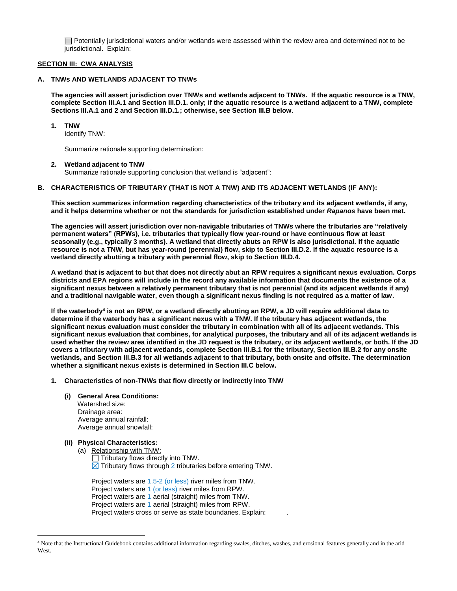$\Box$  Potentially jurisdictional waters and/or wetlands were assessed within the review area and determined not to be jurisdictional. Explain:

#### **SECTION III: CWA ANALYSIS**

# **A. TNWs AND WETLANDS ADJACENT TO TNWs**

**The agencies will assert jurisdiction over TNWs and wetlands adjacent to TNWs. If the aquatic resource is a TNW, complete Section III.A.1 and Section III.D.1. only; if the aquatic resource is a wetland adjacent to a TNW, complete Sections III.A.1 and 2 and Section III.D.1.; otherwise, see Section III.B below**.

#### **1. TNW**

Identify TNW:

Summarize rationale supporting determination:

#### **2. Wetland adjacent to TNW**

Summarize rationale supporting conclusion that wetland is "adjacent":

#### **B. CHARACTERISTICS OF TRIBUTARY (THAT IS NOT A TNW) AND ITS ADJACENT WETLANDS (IF ANY):**

**This section summarizes information regarding characteristics of the tributary and its adjacent wetlands, if any, and it helps determine whether or not the standards for jurisdiction established under** *Rapanos* **have been met.** 

**The agencies will assert jurisdiction over non-navigable tributaries of TNWs where the tributaries are "relatively permanent waters" (RPWs), i.e. tributaries that typically flow year-round or have continuous flow at least seasonally (e.g., typically 3 months). A wetland that directly abuts an RPW is also jurisdictional. If the aquatic resource is not a TNW, but has year-round (perennial) flow, skip to Section III.D.2. If the aquatic resource is a wetland directly abutting a tributary with perennial flow, skip to Section III.D.4.** 

**A wetland that is adjacent to but that does not directly abut an RPW requires a significant nexus evaluation. Corps districts and EPA regions will include in the record any available information that documents the existence of a significant nexus between a relatively permanent tributary that is not perennial (and its adjacent wetlands if any) and a traditional navigable water, even though a significant nexus finding is not required as a matter of law.**

**If the waterbody<sup>4</sup> is not an RPW, or a wetland directly abutting an RPW, a JD will require additional data to determine if the waterbody has a significant nexus with a TNW. If the tributary has adjacent wetlands, the significant nexus evaluation must consider the tributary in combination with all of its adjacent wetlands. This significant nexus evaluation that combines, for analytical purposes, the tributary and all of its adjacent wetlands is used whether the review area identified in the JD request is the tributary, or its adjacent wetlands, or both. If the JD covers a tributary with adjacent wetlands, complete Section III.B.1 for the tributary, Section III.B.2 for any onsite wetlands, and Section III.B.3 for all wetlands adjacent to that tributary, both onsite and offsite. The determination whether a significant nexus exists is determined in Section III.C below.**

# **1. Characteristics of non-TNWs that flow directly or indirectly into TNW**

# **(i) General Area Conditions:**

 Watershed size: Drainage area: Average annual rainfall: Average annual snowfall:

# **(ii) Physical Characteristics:**

 $\overline{a}$ 

(a) Relationship with TNW:  $\Box$  Tributary flows directly into TNW.  $\boxtimes$  Tributary flows through 2 tributaries before entering TNW.

Project waters are 1.5-2 (or less) river miles from TNW. Project waters are 1 (or less) river miles from RPW. Project waters are 1 aerial (straight) miles from TNW. Project waters are 1 aerial (straight) miles from RPW. Project waters cross or serve as state boundaries. Explain:

<sup>4</sup> Note that the Instructional Guidebook contains additional information regarding swales, ditches, washes, and erosional features generally and in the arid West.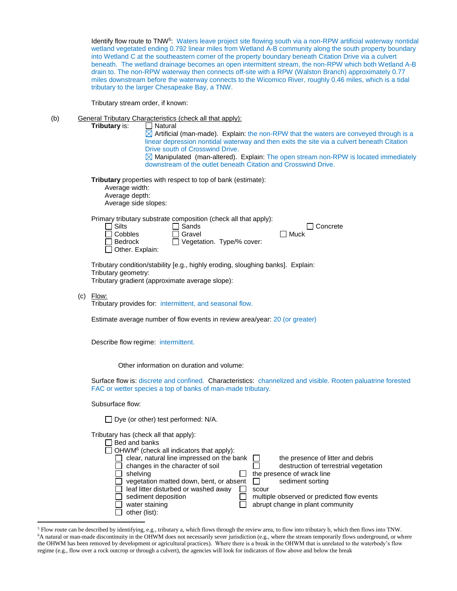Identify flow route to TNW<sup>5</sup>: Waters leave project site flowing south via a non-RPW artificial waterway nontidal wetland vegetated ending 0.792 linear miles from Wetland A-B community along the south property boundary into Wetland C at the southeastern corner of the property boundary beneath Citation Drive via a culvert beneath. The wetland drainage becomes an open intermittent stream, the non-RPW which both Wetland A-B drain to. The non-RPW waterway then connects off-site with a RPW (Walston Branch) approximately 0.77 miles downstream before the waterway connects to the Wicomico River, roughly 0.46 miles, which is a tidal tributary to the larger Chesapeake Bay, a TNW.

Tributary stream order, if known:

(b) General Tributary Characteristics (check all that apply): **Tributary** is:

 $\Box$  Natural  $\Box$  Artificial (man-made). Explain: the non-RPW that the waters are conveyed through is a linear depression nontidal waterway and then exits the site via a culvert beneath Citation Drive south of Crosswind Drive.  $\boxtimes$  Manipulated (man-altered). Explain: The open stream non-RPW is located immediately downstream of the outlet beneath Citation and Crosswind Drive.

**Tributary** properties with respect to top of bank (estimate):

| Average width:       |
|----------------------|
| Average depth:       |
| Average side slopes: |

Primary tributary substrate composition (check all that apply):

| $\Box$ Silts           | $\Box$ Sands              | $\Box$ Concrete |
|------------------------|---------------------------|-----------------|
| $\Box$ Cobbles         | $\Box$ Gravel             | $\Box$ Muck     |
| $\Box$ Bedrock         | Vegetation. Type/% cover: |                 |
| $\Box$ Other. Explain: |                           |                 |

Tributary condition/stability [e.g., highly eroding, sloughing banks]. Explain: Tributary geometry: Tributary gradient (approximate average slope):

(c) Flow:

 $\overline{a}$ 

Tributary provides for: intermittent, and seasonal flow.

Estimate average number of flow events in review area/year: 20 (or greater)

Describe flow regime: intermittent.

Other information on duration and volume:

Surface flow is: discrete and confined. Characteristics: channelized and visible. Rooten paluatrine forested FAC or wetter species a top of banks of man-made tributary.

Subsurface flow:

| □ Dye (or other) test performed: N/A. |  |
|---------------------------------------|--|
|---------------------------------------|--|

Tributary has (check all that apply):

| Bed and banks                                               |                                            |
|-------------------------------------------------------------|--------------------------------------------|
| $\Box$ OHWM <sup>6</sup> (check all indicators that apply): |                                            |
| clear, natural line impressed on the bank                   | the presence of litter and debris          |
| changes in the character of soil                            | destruction of terrestrial vegetation      |
| shelving                                                    | the presence of wrack line                 |
| vegetation matted down, bent, or absent                     | sediment sorting                           |
| leaf litter disturbed or washed away                        | scour                                      |
| sediment deposition                                         | multiple observed or predicted flow events |
| water staining                                              | abrupt change in plant community           |
| other (list):                                               |                                            |

<sup>5</sup> Flow route can be described by identifying, e.g., tributary a, which flows through the review area, to flow into tributary b, which then flows into TNW. <sup>6</sup>A natural or man-made discontinuity in the OHWM does not necessarily sever jurisdiction (e.g., where the stream temporarily flows underground, or where the OHWM has been removed by development or agricultural practices). Where there is a break in the OHWM that is unrelated to the waterbody's flow regime (e.g., flow over a rock outcrop or through a culvert), the agencies will look for indicators of flow above and below the break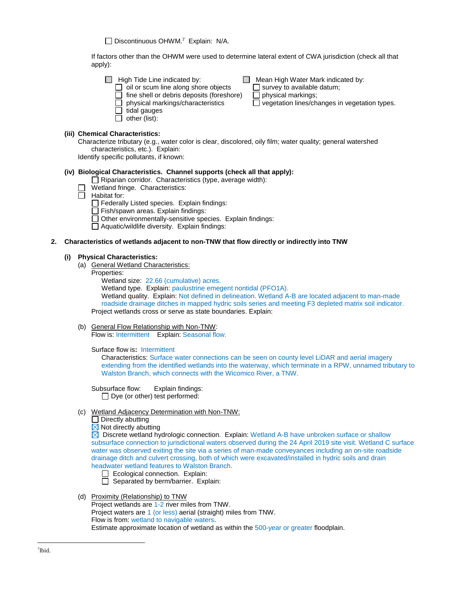Discontinuous OHWM.<sup>7</sup> Explain: N/A.

If factors other than the OHWM were used to determine lateral extent of CWA jurisdiction (check all that apply):

- 
- High Tide Line indicated by:  $\Box$  Mean High Water Mark indicated by:  $\Box$  oil or scum line along shore objects  $\Box$  survey to available datum;  $\Box$  oil or scum line along shore objects  $\Box$  survey to available  $\Box$  fine shell or debris deposits (foreshore)  $\Box$  physical markings;  $\Box$  fine shell or debris deposits (foreshore)<br> $\Box$  physical markings/characteristics
	-

 $\overline{\Box}$  vegetation lines/changes in vegetation types.

# **(iii) Chemical Characteristics:**

Characterize tributary (e.g., water color is clear, discolored, oily film; water quality; general watershed characteristics, etc.). Explain:

Identify specific pollutants, if known:

 $\Box$  tidal gauges  $\Box$  other (list):

# **(iv) Biological Characteristics. Channel supports (check all that apply):**

- $\Box$  Riparian corridor. Characteristics (type, average width):
- Wetland fringe. Characteristics:
- $\Box$  Habitat for:
	- $\Box$  Federally Listed species. Explain findings:
	- $\Box$  Fish/spawn areas. Explain findings:
	- $\Box$  Other environmentally-sensitive species. Explain findings:
	- $\Box$  Aquatic/wildlife diversity. Explain findings:

#### **2. Characteristics of wetlands adjacent to non-TNW that flow directly or indirectly into TNW**

#### **(i) Physical Characteristics:**

- (a) General Wetland Characteristics:
	- Properties:
		- Wetland size: 22.66 (cumulative) acres.

Wetland type. Explain: paulustrine emegent nontidal (PFO1A).

Wetland quality. Explain: Not defined in delineation. Wetland A-B are located adjacent to man-made roadside drainage ditches in mapped hydric soils series and meeting F3 depleted matrix soil indicator. Project wetlands cross or serve as state boundaries. Explain:

(b) General Flow Relationship with Non-TNW:

Flow is: Intermittent Explain: Seasonal flow.

Surface flow is**:** Intermittent

Characteristics: Surface water connections can be seen on county level LiDAR and aerial imagery extending from the identified wetlands into the waterway, which terminate in a RPW, unnamed tributary to Walston Branch, which connects with the Wicomico River, a TNW.

Subsurface flow:Explain findings:  $\Box$  Dye (or other) test performed:

- (c) Wetland Adjacency Determination with Non-TNW:
	- $\Box$  Directly abutting
	- $\boxtimes$  Not directly abutting

 $\boxtimes$  Discrete wetland hydrologic connection. Explain: Wetland A-B have unbroken surface or shallow subsurface connection to jurisdictional waters observed during the 24 April 2019 site visit. Wetland C surface water was observed exiting the site via a series of man-made conveyances including an on-site roadside drainage ditch and culvert crossing, both of which were excavated/installed in hydric soils and drain headwater wetland features to Walston Branch.

- Ecological connection. Explain:
- $\Box$  Separated by berm/barrier. Explain:
- (d) Proximity (Relationship) to TNW

Project wetlands are 1-2 river miles from TNW. Project waters are 1 (or less) aerial (straight) miles from TNW. Flow is from: wetland to navigable waters. Estimate approximate location of wetland as within the 500-year or greater floodplain.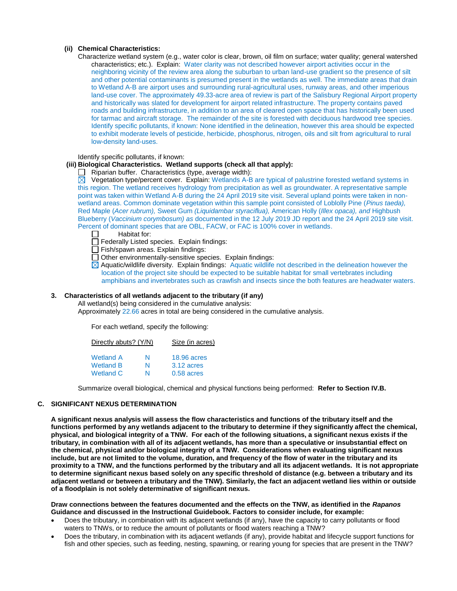# **(ii) Chemical Characteristics:**

Characterize wetland system (e.g., water color is clear, brown, oil film on surface; water quality; general watershed characteristics; etc.). Explain: Water clarity was not described however airport activities occur in the neighboring vicinity of the review area along the suburban to urban land-use gradient so the presence of silt and other potential contaminants is presumed present in the wetlands as well. The immediate areas that drain to Wetland A-B are airport uses and surrounding rural-agricultural uses, runway areas, and other imperious land-use cover. The approximately 49.33-acre area of review is part of the Salisbury Regional Airport property and historically was slated for development for airport related infrastructure. The property contains paved roads and building infrastructure, in addition to an area of cleared open space that has historically been used for tarmac and aircraft storage. The remainder of the site is forested with deciduous hardwood tree species. Identify specific pollutants, if known: None identified in the delineation, however this area should be expected to exhibit moderate levels of pesticide, herbicide, phosphorus, nitrogen, oils and silt from agricultural to rural low-density land-uses.

Identify specific pollutants, if known:

# **(iii) Biological Characteristics. Wetland supports (check all that apply):**

Riparian buffer. Characteristics (type, average width):

 $\boxtimes$  Vegetation type/percent cover. Explain: Wetlands A-B are typical of palustrine forested wetland systems in this region. The wetland receives hydrology from precipitation as well as groundwater. A representative sample point was taken within Wetland A-B during the 24 April 2019 site visit. Several upland points were taken in nonwetland areas. Common dominate vegetation within this sample point consisted of Loblolly Pine (*Pinus taeda),*  Red Maple (*Acer rubrum),* Sweet Gum *(Liquidambar styraciflua),* American Holly (*Illex opaca), and* Highbush Blueberry (*Vaccinium corymbosum) as* documented in the 12 July 2019 JD report and the 24 April 2019 site visit. Percent of dominant species that are OBL, FACW, or FAC is 100% cover in wetlands.

- $\Box$ Habitat for:
- Federally Listed species. Explain findings:
- $\Box$  Fish/spawn areas. Explain findings:
- □ Other environmentally-sensitive species. Explain findings:
- $\boxtimes$  Aquatic/wildlife diversity. Explain findings: Aquatic wildlife not described in the delineation however the location of the project site should be expected to be suitable habitat for small vertebrates including amphibians and invertebrates such as crawfish and insects since the both features are headwater waters.

# **3. Characteristics of all wetlands adjacent to the tributary (if any)**

All wetland(s) being considered in the cumulative analysis:

Approximately 22.66 acres in total are being considered in the cumulative analysis.

For each wetland, specify the following:

| Directly abuts? (Y/N) |   | Size (in acres)    |
|-----------------------|---|--------------------|
| <b>Wetland A</b>      | N | <b>18.96 acres</b> |
| <b>Wetland B</b>      | N | 3.12 acres         |
| <b>Wetland C</b>      | N | $0.58$ acres       |

Summarize overall biological, chemical and physical functions being performed: **Refer to Section IV.B.**

#### **C. SIGNIFICANT NEXUS DETERMINATION**

**A significant nexus analysis will assess the flow characteristics and functions of the tributary itself and the functions performed by any wetlands adjacent to the tributary to determine if they significantly affect the chemical, physical, and biological integrity of a TNW. For each of the following situations, a significant nexus exists if the tributary, in combination with all of its adjacent wetlands, has more than a speculative or insubstantial effect on the chemical, physical and/or biological integrity of a TNW. Considerations when evaluating significant nexus include, but are not limited to the volume, duration, and frequency of the flow of water in the tributary and its proximity to a TNW, and the functions performed by the tributary and all its adjacent wetlands. It is not appropriate to determine significant nexus based solely on any specific threshold of distance (e.g. between a tributary and its adjacent wetland or between a tributary and the TNW). Similarly, the fact an adjacent wetland lies within or outside of a floodplain is not solely determinative of significant nexus.** 

**Draw connections between the features documented and the effects on the TNW, as identified in the** *Rapanos* **Guidance and discussed in the Instructional Guidebook. Factors to consider include, for example:**

- Does the tributary, in combination with its adiacent wetlands (if any), have the capacity to carry pollutants or flood waters to TNWs, or to reduce the amount of pollutants or flood waters reaching a TNW?
- Does the tributary, in combination with its adjacent wetlands (if any), provide habitat and lifecycle support functions for fish and other species, such as feeding, nesting, spawning, or rearing young for species that are present in the TNW?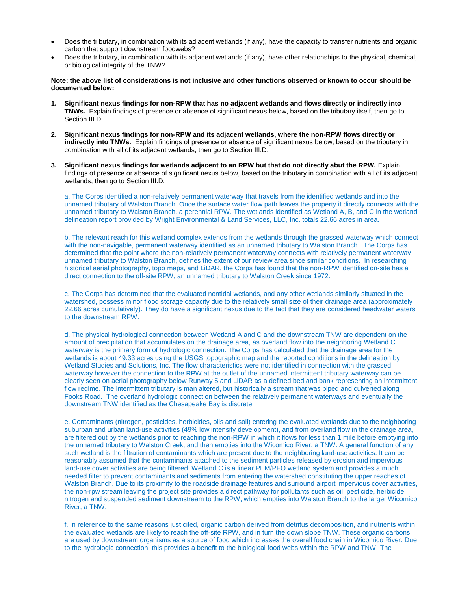- Does the tributary, in combination with its adjacent wetlands (if any), have the capacity to transfer nutrients and organic carbon that support downstream foodwebs?
- Does the tributary, in combination with its adjacent wetlands (if any), have other relationships to the physical, chemical, or biological integrity of the TNW?

#### **Note: the above list of considerations is not inclusive and other functions observed or known to occur should be documented below:**

- **1. Significant nexus findings for non-RPW that has no adjacent wetlands and flows directly or indirectly into TNWs.** Explain findings of presence or absence of significant nexus below, based on the tributary itself, then go to Section III.D:
- **2. Significant nexus findings for non-RPW and its adjacent wetlands, where the non-RPW flows directly or indirectly into TNWs.** Explain findings of presence or absence of significant nexus below, based on the tributary in combination with all of its adjacent wetlands, then go to Section III.D:
- **3. Significant nexus findings for wetlands adjacent to an RPW but that do not directly abut the RPW.** Explain findings of presence or absence of significant nexus below, based on the tributary in combination with all of its adjacent wetlands, then go to Section III.D:

a. The Corps identified a non-relatively permanent waterway that travels from the identified wetlands and into the unnamed tributary of Walston Branch. Once the surface water flow path leaves the property it directly connects with the unnamed tributary to Walston Branch, a perennial RPW. The wetlands identified as Wetland A, B, and C in the wetland delineation report provided by Wright Environmental & Land Services, LLC, Inc. totals 22.66 acres in area.

b. The relevant reach for this wetland complex extends from the wetlands through the grassed waterway which connect with the non-navigable, permanent waterway identified as an unnamed tributary to Walston Branch. The Corps has determined that the point where the non-relatively permanent waterway connects with relatively permanent waterway unnamed tributary to Walston Branch, defines the extent of our review area since similar conditions. In researching historical aerial photography, topo maps, and LiDAR, the Corps has found that the non-RPW identified on-site has a direct connection to the off-site RPW, an unnamed tributary to Walston Creek since 1972.

c. The Corps has determined that the evaluated nontidal wetlands, and any other wetlands similarly situated in the watershed, possess minor flood storage capacity due to the relatively small size of their drainage area (approximately 22.66 acres cumulatively). They do have a significant nexus due to the fact that they are considered headwater waters to the downstream RPW.

d. The physical hydrological connection between Wetland A and C and the downstream TNW are dependent on the amount of precipitation that accumulates on the drainage area, as overland flow into the neighboring Wetland C waterway is the primary form of hydrologic connection. The Corps has calculated that the drainage area for the wetlands is about 49.33 acres using the USGS topographic map and the reported conditions in the delineation by Wetland Studies and Solutions, Inc. The flow characteristics were not identified in connection with the grassed waterway however the connection to the RPW at the outlet of the unnamed intermittent tributary waterway can be clearly seen on aerial photography below Runway 5 and LiDAR as a defined bed and bank representing an intermittent flow regime. The intermittent tributary is man altered, but historically a stream that was piped and culverted along Fooks Road. The overland hydrologic connection between the relatively permanent waterways and eventually the downstream TNW identified as the Chesapeake Bay is discrete.

e. Contaminants (nitrogen, pesticides, herbicides, oils and soil) entering the evaluated wetlands due to the neighboring suburban and urban land-use activities (49% low intensity development), and from overland flow in the drainage area, are filtered out by the wetlands prior to reaching the non-RPW in which it flows for less than 1 mile before emptying into the unnamed tributary to Walston Creek, and then empties into the Wicomico River, a TNW. A general function of any such wetland is the filtration of contaminants which are present due to the neighboring land-use activities. It can be reasonably assumed that the contaminants attached to the sediment particles released by erosion and impervious land-use cover activities are being filtered. Wetland C is a linear PEM/PFO wetland system and provides a much needed filter to prevent contaminants and sediments from entering the watershed constituting the upper reaches of Walston Branch. Due to its proximity to the roadside drainage features and surround airport impervious cover activities, the non-rpw stream leaving the project site provides a direct pathway for pollutants such as oil, pesticide, herbicide, nitrogen and suspended sediment downstream to the RPW, which empties into Walston Branch to the larger Wicomico River, a TNW.

f. In reference to the same reasons just cited, organic carbon derived from detritus decomposition, and nutrients within the evaluated wetlands are likely to reach the off-site RPW, and in turn the down slope TNW. These organic carbons are used by downstream organisms as a source of food which increases the overall food chain in Wicomico River. Due to the hydrologic connection, this provides a benefit to the biological food webs within the RPW and TNW. The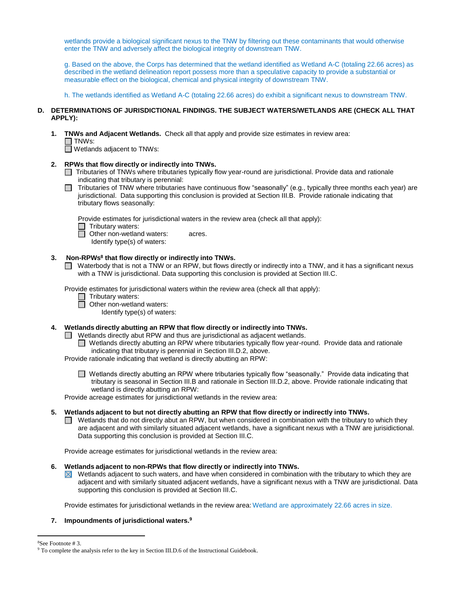wetlands provide a biological significant nexus to the TNW by filtering out these contaminants that would otherwise enter the TNW and adversely affect the biological integrity of downstream TNW.

g. Based on the above, the Corps has determined that the wetland identified as Wetland A-C (totaling 22.66 acres) as described in the wetland delineation report possess more than a speculative capacity to provide a substantial or measurable effect on the biological, chemical and physical integrity of downstream TNW.

h. The wetlands identified as Wetland A-C (totaling 22.66 acres) do exhibit a significant nexus to downstream TNW.

# **D. DETERMINATIONS OF JURISDICTIONAL FINDINGS. THE SUBJECT WATERS/WETLANDS ARE (CHECK ALL THAT APPLY):**

**1. TNWs and Adjacent Wetlands.** Check all that apply and provide size estimates in review area:  $\Box$  TNWs:

Wetlands adjacent to TNWs:

- **2. RPWs that flow directly or indirectly into TNWs.**
	- Tributaries of TNWs where tributaries typically flow year-round are jurisdictional. Provide data and rationale indicating that tributary is perennial:
	- Tributaries of TNW where tributaries have continuous flow "seasonally" (e.g., typically three months each year) are jurisdictional. Data supporting this conclusion is provided at Section III.B. Provide rationale indicating that tributary flows seasonally:

Provide estimates for jurisdictional waters in the review area (check all that apply):

 $\Box$  Tributary waters:

**Other non-wetland waters: acres.** Identify type(s) of waters:

### **3. Non-RPWs<sup>8</sup> that flow directly or indirectly into TNWs.**

■ Waterbody that is not a TNW or an RPW, but flows directly or indirectly into a TNW, and it has a significant nexus with a TNW is jurisdictional. Data supporting this conclusion is provided at Section III.C.

Provide estimates for jurisdictional waters within the review area (check all that apply):

- Tributary waters:
- $\Box$  Other non-wetland waters:

Identify type(s) of waters:

# **4. Wetlands directly abutting an RPW that flow directly or indirectly into TNWs.**

 $\Box$  Wetlands directly abut RPW and thus are jurisdictional as adjacent wetlands.

■ Wetlands directly abutting an RPW where tributaries typically flow year-round. Provide data and rationale indicating that tributary is perennial in Section III.D.2, above.

Provide rationale indicating that wetland is directly abutting an RPW:

■ Wetlands directly abutting an RPW where tributaries typically flow "seasonally." Provide data indicating that tributary is seasonal in Section III.B and rationale in Section III.D.2, above. Provide rationale indicating that wetland is directly abutting an RPW:

Provide acreage estimates for jurisdictional wetlands in the review area:

# **5. Wetlands adjacent to but not directly abutting an RPW that flow directly or indirectly into TNWs.**

 $\Box$  Wetlands that do not directly abut an RPW, but when considered in combination with the tributary to which they are adjacent and with similarly situated adjacent wetlands, have a significant nexus with a TNW are jurisidictional. Data supporting this conclusion is provided at Section III.C.

Provide acreage estimates for jurisdictional wetlands in the review area:

#### **6. Wetlands adjacent to non-RPWs that flow directly or indirectly into TNWs.**

 $\boxtimes$  Wetlands adjacent to such waters, and have when considered in combination with the tributary to which they are adjacent and with similarly situated adjacent wetlands, have a significant nexus with a TNW are jurisdictional. Data supporting this conclusion is provided at Section III.C.

Provide estimates for jurisdictional wetlands in the review area: Wetland are approximately 22.66 acres in size.

# **7. Impoundments of jurisdictional waters.<sup>9</sup>**

<sup>8</sup>See Footnote # 3.

 $\overline{a}$ 

<sup>&</sup>lt;sup>9</sup> To complete the analysis refer to the key in Section III.D.6 of the Instructional Guidebook.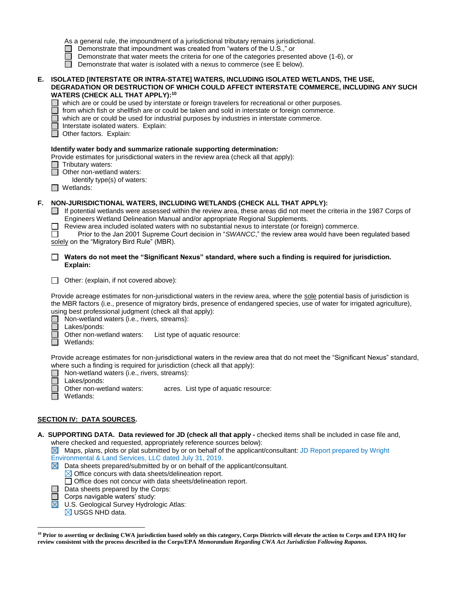- □ Demonstrate that impoundment was created from "waters of the U.S.," or
- Demonstrate that water meets the criteria for one of the categories presented above  $(1-6)$ , or
- Demonstrate that water is isolated with a nexus to commerce (see  $E$  below).

# **E. ISOLATED [INTERSTATE OR INTRA-STATE] WATERS, INCLUDING ISOLATED WETLANDS, THE USE, DEGRADATION OR DESTRUCTION OF WHICH COULD AFFECT INTERSTATE COMMERCE, INCLUDING ANY SUCH WATERS (CHECK ALL THAT APPLY):<sup>10</sup>**

 $\Box$  which are or could be used by interstate or foreign travelers for recreational or other purposes.

- from which fish or shellfish are or could be taken and sold in interstate or foreign commerce.
- which are or could be used for industrial purposes by industries in interstate commerce.

Interstate isolated waters.Explain:

Other factors. Explain:

#### **Identify water body and summarize rationale supporting determination:**

Provide estimates for jurisdictional waters in the review area (check all that apply):

□ Tributary waters:

□ Other non-wetland waters:

Identify type(s) of waters:

Wetlands:

# **F. NON-JURISDICTIONAL WATERS, INCLUDING WETLANDS (CHECK ALL THAT APPLY):**

 $\Box$  If potential wetlands were assessed within the review area, these areas did not meet the criteria in the 1987 Corps of Engineers Wetland Delineation Manual and/or appropriate Regional Supplements.

Review area included isolated waters with no substantial nexus to interstate (or foreign) commerce.

Prior to the Jan 2001 Supreme Court decision in "*SWANCC*," the review area would have been regulated based solely on the "Migratory Bird Rule" (MBR).

**Waters do not meet the "Significant Nexus" standard, where such a finding is required for jurisdiction. Explain:**

Other: (explain, if not covered above):

Provide acreage estimates for non-jurisdictional waters in the review area, where the sole potential basis of jurisdiction is the MBR factors (i.e., presence of migratory birds, presence of endangered species, use of water for irrigated agriculture), using best professional judgment (check all that apply):

□ Non-wetland waters (i.e., rivers, streams):

П Lakes/ponds:

Other non-wetland waters: List type of aquatic resource:

ñ Wetlands:

Provide acreage estimates for non-jurisdictional waters in the review area that do not meet the "Significant Nexus" standard, where such a finding is required for jurisdiction (check all that apply):

Non-wetland waters (i.e., rivers, streams):

Lakes/ponds:<br>Other non-wetland waters: acres. List type of aquatic resource:

- Wetlands:
- 

# **SECTION IV: DATA SOURCES.**

**A. SUPPORTING DATA. Data reviewed for JD (check all that apply -** checked items shall be included in case file and, where checked and requested, appropriately reference sources below):

 $\boxtimes$  Maps, plans, plots or plat submitted by or on behalf of the applicant/consultant: JD Report prepared by Wright Environmental & Land Services, LLC dated July 31, 2019.

 $\boxtimes$  Data sheets prepared/submitted by or on behalf of the applicant/consultant.

 $\boxtimes$  Office concurs with data sheets/delineation report.

- $\Box$  Office does not concur with data sheets/delineation report.
- Data sheets prepared by the Corps:
- Corps navigable waters' study:
- U.S. Geological Survey Hydrologic Atlas:
- $\boxtimes$  USGS NHD data.

 $\overline{\boxtimes}$ 

 $\overline{a}$ **<sup>10</sup> Prior to asserting or declining CWA jurisdiction based solely on this category, Corps Districts will elevate the action to Corps and EPA HQ for review consistent with the process described in the Corps/EPA** *Memorandum Regarding CWA Act Jurisdiction Following Rapanos.*